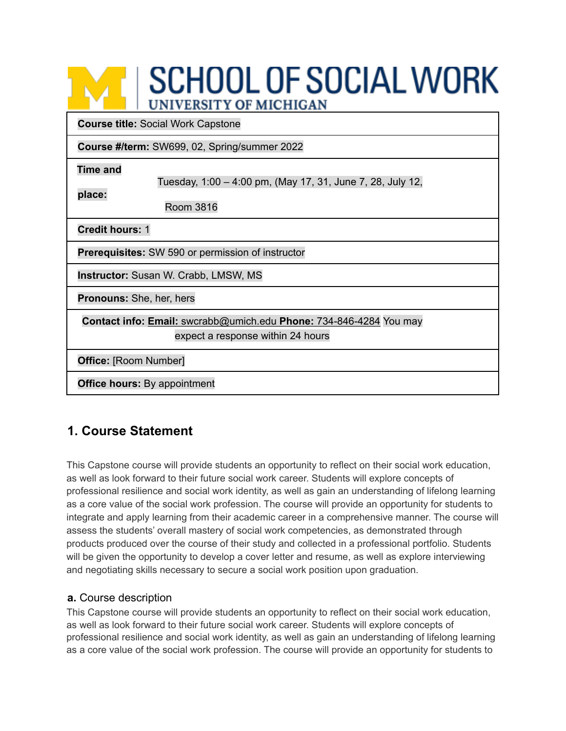# **SCHOOL OF SOCIAL WORK UNIVERSITY OF MICHIGAN**

**Course title:** Social Work Capstone

**Course #/term:** SW699, 02, Spring/summer 2022

**Time and**

**place:**

Tuesday, 1:00 – 4:00 pm, (May 17, 31, June 7, 28, July 12,

Room 3816

**Credit hours:** 1

**Prerequisites:** SW 590 or permission of instructor

**Instructor:** Susan W. Crabb, LMSW, MS

**Pronouns:** She, her, hers

**Contact info: Email:** swcrabb@umich.edu **Phone:** 734-846-4284 You may expect a response within 24 hours

**Office:** [Room Number]

**Office hours:** By appointment

# **1. Course Statement**

This Capstone course will provide students an opportunity to reflect on their social work education, as well as look forward to their future social work career. Students will explore concepts of professional resilience and social work identity, as well as gain an understanding of lifelong learning as a core value of the social work profession. The course will provide an opportunity for students to integrate and apply learning from their academic career in a comprehensive manner. The course will assess the students' overall mastery of social work competencies, as demonstrated through products produced over the course of their study and collected in a professional portfolio. Students will be given the opportunity to develop a cover letter and resume, as well as explore interviewing and negotiating skills necessary to secure a social work position upon graduation.

## **a.** Course description

This Capstone course will provide students an opportunity to reflect on their social work education, as well as look forward to their future social work career. Students will explore concepts of professional resilience and social work identity, as well as gain an understanding of lifelong learning as a core value of the social work profession. The course will provide an opportunity for students to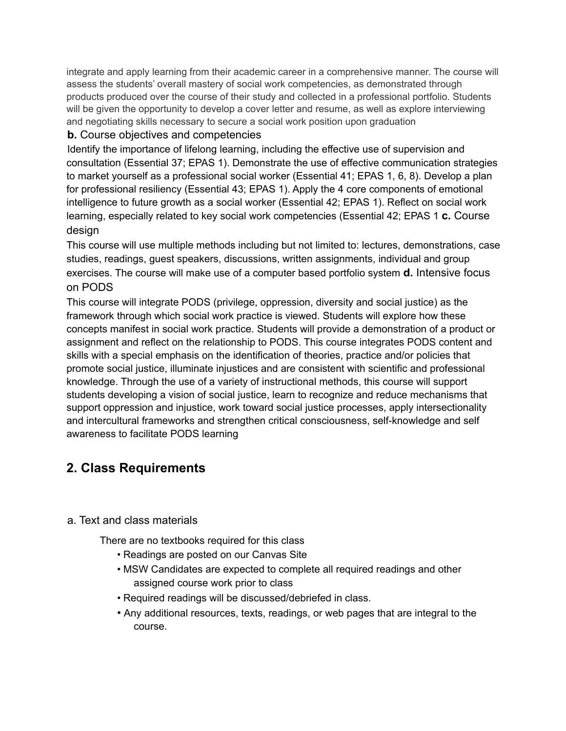integrate and apply learning from their academic career in a comprehensive manner. The course will assess the students' overall mastery of social work competencies, as demonstrated through products produced over the course of their study and collected in a professional portfolio. Students will be given the opportunity to develop a cover letter and resume, as well as explore interviewing and negotiating skills necessary to secure a social work position upon graduation

## **b.** Course objectives and competencies

Identify the importance of lifelong learning, including the effective use of supervision and consultation (Essential 37; EPAS 1). Demonstrate the use of effective communication strategies to market yourself as a professional social worker (Essential 41; EPAS 1, 6, 8). Develop a plan for professional resiliency (Essential 43; EPAS 1). Apply the 4 core components of emotional intelligence to future growth as a social worker (Essential 42; EPAS 1). Reflect on social work learning, especially related to key social work competencies (Essential 42; EPAS 1 **c.** Course design

This course will use multiple methods including but not limited to: lectures, demonstrations, case studies, readings, guest speakers, discussions, written assignments, individual and group exercises. The course will make use of a computer based portfolio system **d.** Intensive focus on PODS

This course will integrate PODS (privilege, oppression, diversity and social justice) as the framework through which social work practice is viewed. Students will explore how these concepts manifest in social work practice. Students will provide a demonstration of a product or assignment and reflect on the relationship to PODS. This course integrates PODS content and skills with a special emphasis on the identification of theories, practice and/or policies that promote social justice, illuminate injustices and are consistent with scientific and professional knowledge. Through the use of a variety of instructional methods, this course will support students developing a vision of social justice, learn to recognize and reduce mechanisms that support oppression and injustice, work toward social justice processes, apply intersectionality and intercultural frameworks and strengthen critical consciousness, self-knowledge and self awareness to facilitate PODS learning

# **2. Class Requirements**

## a. Text and class materials

There are no textbooks required for this class

- Readings are posted on our Canvas Site
- MSW Candidates are expected to complete all required readings and other assigned course work prior to class
- Required readings will be discussed/debriefed in class.
- Any additional resources, texts, readings, or web pages that are integral to the course.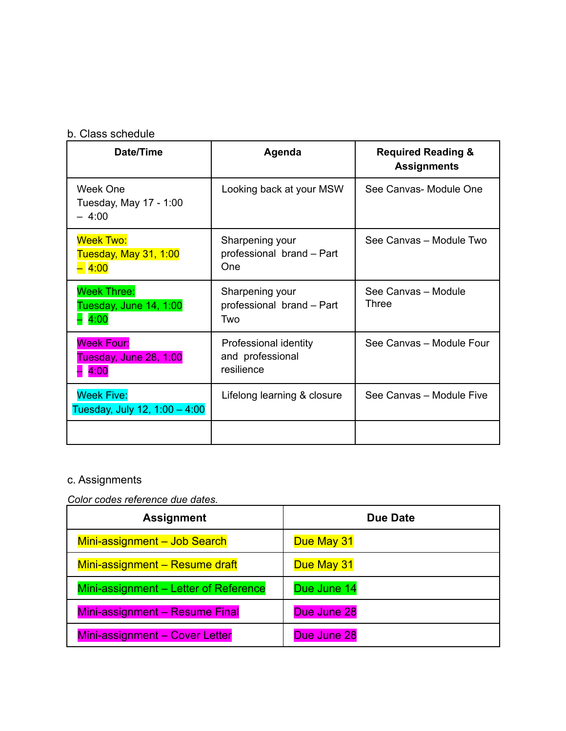## b. Class schedule

| Date/Time                                            | Agenda                                                  | <b>Required Reading &amp;</b><br><b>Assignments</b> |
|------------------------------------------------------|---------------------------------------------------------|-----------------------------------------------------|
| Week One<br>Tuesday, May 17 - 1:00<br>$-4:00$        | Looking back at your MSW                                | See Canvas- Module One                              |
| <b>Week Two:</b><br>Tuesday, May 31, 1:00<br>$-4:00$ | Sharpening your<br>professional brand - Part<br>One     | See Canvas - Module Two                             |
| <b>Week Three:</b><br>Tuesday, June 14, 1:00<br>4:00 | Sharpening your<br>professional brand - Part<br>Two     | See Canvas - Module<br>Three                        |
| <b>Week Four:</b><br>Tuesday, June 28, 1:00<br>4:00  | Professional identity<br>and professional<br>resilience | See Canvas - Module Four                            |
| <b>Week Five:</b><br>Tuesday, July 12, 1:00 - 4:00   | Lifelong learning & closure                             | See Canvas - Module Five                            |
|                                                      |                                                         |                                                     |

## c. Assignments

*Color codes reference due dates.*

| <b>Assignment</b>                     | Due Date    |
|---------------------------------------|-------------|
| Mini-assignment - Job Search          | Due May 31  |
| Mini-assignment - Resume draft        | Due May 31  |
| Mini-assignment - Letter of Reference | Due June 14 |
| Mini-assignment - Resume Final        | Due June 28 |
| Mini-assignment - Cover Letter        | Due June 28 |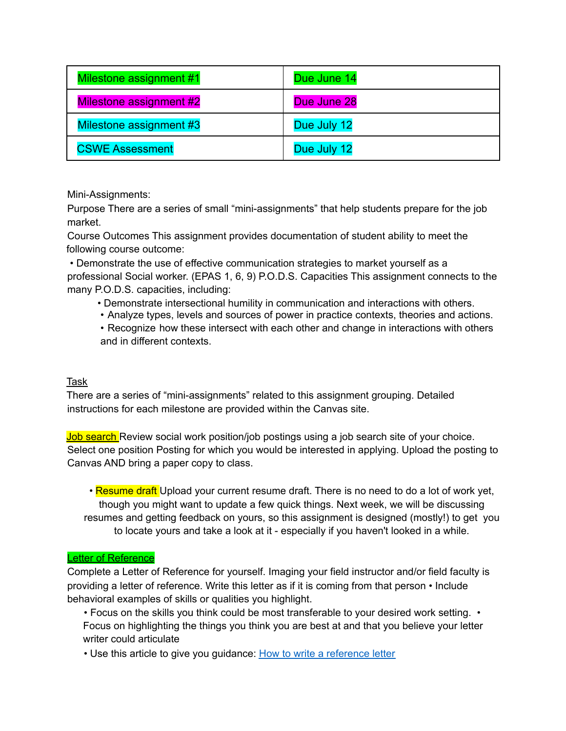| Milestone assignment #1        | Due June 14 |
|--------------------------------|-------------|
| <b>Milestone assignment #2</b> | Due June 28 |
| Milestone assignment #3        | Due July 12 |
| <b>CSWE Assessment</b>         | Due July 12 |

Mini-Assignments:

Purpose There are a series of small "mini-assignments" that help students prepare for the job market.

Course Outcomes This assignment provides documentation of student ability to meet the following course outcome:

• Demonstrate the use of effective communication strategies to market yourself as a professional Social worker. (EPAS 1, 6, 9) P.O.D.S. Capacities This assignment connects to the many P.O.D.S. capacities, including:

- Demonstrate intersectional humility in communication and interactions with others.
- Analyze types, levels and sources of power in practice contexts, theories and actions.

• Recognize how these intersect with each other and change in interactions with others and in different contexts.

#### Task

There are a series of "mini-assignments" related to this assignment grouping. Detailed instructions for each milestone are provided within the Canvas site.

Job search Review social work position/job postings using a job search site of your choice. Select one position Posting for which you would be interested in applying. Upload the posting to Canvas AND bring a paper copy to class.

• Resume draft Upload your current resume draft. There is no need to do a lot of work yet, though you might want to update a few quick things. Next week, we will be discussing resumes and getting feedback on yours, so this assignment is designed (mostly!) to get you to locate yours and take a look at it - especially if you haven't looked in a while.

#### Letter of Reference

Complete a Letter of Reference for yourself. Imaging your field instructor and/or field faculty is providing a letter of reference. Write this letter as if it is coming from that person • Include behavioral examples of skills or qualities you highlight.

• Focus on the skills you think could be most transferable to your desired work setting. • Focus on highlighting the things you think you are best at and that you believe your letter writer could articulate

• Use this article to give you guidance: How to write a reference letter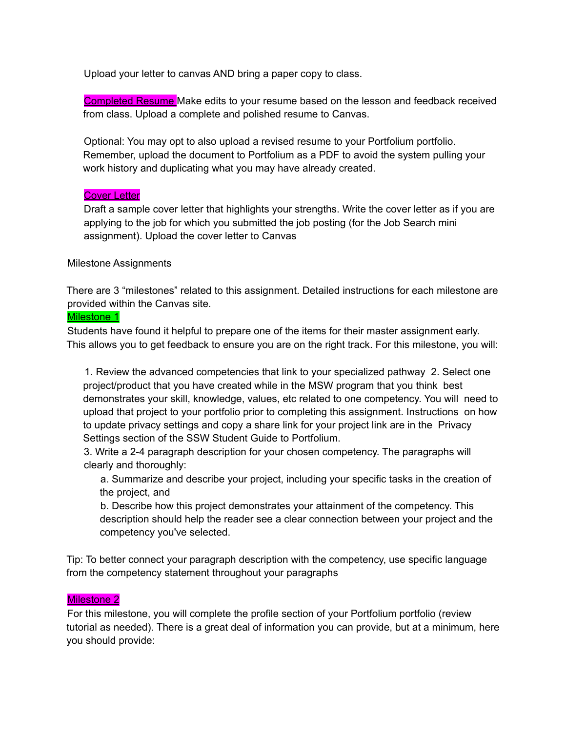Upload your letter to canvas AND bring a paper copy to class.

Completed Resume Make edits to your resume based on the lesson and feedback received from class. Upload a complete and polished resume to Canvas.

Optional: You may opt to also upload a revised resume to your Portfolium portfolio. Remember, upload the document to Portfolium as a PDF to avoid the system pulling your work history and duplicating what you may have already created.

#### **Cover Letter**

Draft a sample cover letter that highlights your strengths. Write the cover letter as if you are applying to the job for which you submitted the job posting (for the Job Search mini assignment). Upload the cover letter to Canvas

#### Milestone Assignments

There are 3 "milestones" related to this assignment. Detailed instructions for each milestone are provided within the Canvas site.

#### Milestone 1

Students have found it helpful to prepare one of the items for their master assignment early. This allows you to get feedback to ensure you are on the right track. For this milestone, you will:

1. Review the advanced competencies that link to your specialized pathway 2. Select one project/product that you have created while in the MSW program that you think best demonstrates your skill, knowledge, values, etc related to one competency. You will need to upload that project to your portfolio prior to completing this assignment. Instructions on how to update privacy settings and copy a share link for your project link are in the Privacy Settings section of the SSW Student Guide to Portfolium.

3. Write a 2-4 paragraph description for your chosen competency. The paragraphs will clearly and thoroughly:

a. Summarize and describe your project, including your specific tasks in the creation of the project, and

b. Describe how this project demonstrates your attainment of the competency. This description should help the reader see a clear connection between your project and the competency you've selected.

Tip: To better connect your paragraph description with the competency, use specific language from the competency statement throughout your paragraphs

#### Milestone 2

For this milestone, you will complete the profile section of your Portfolium portfolio (review tutorial as needed). There is a great deal of information you can provide, but at a minimum, here you should provide: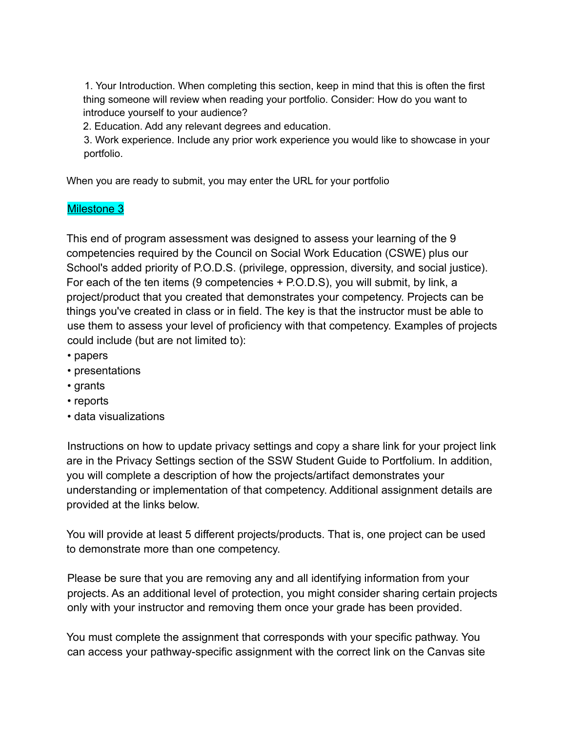1. Your Introduction. When completing this section, keep in mind that this is often the first thing someone will review when reading your portfolio. Consider: How do you want to introduce yourself to your audience?

2. Education. Add any relevant degrees and education.

3. Work experience. Include any prior work experience you would like to showcase in your portfolio.

When you are ready to submit, you may enter the URL for your portfolio

## Milestone 3

This end of program assessment was designed to assess your learning of the 9 competencies required by the Council on Social Work Education (CSWE) plus our School's added priority of P.O.D.S. (privilege, oppression, diversity, and social justice). For each of the ten items (9 competencies + P.O.D.S), you will submit, by link, a project/product that you created that demonstrates your competency. Projects can be things you've created in class or in field. The key is that the instructor must be able to use them to assess your level of proficiency with that competency. Examples of projects could include (but are not limited to):

- papers
- presentations
- grants
- reports
- data visualizations

Instructions on how to update privacy settings and copy a share link for your project link are in the Privacy Settings section of the SSW Student Guide to Portfolium. In addition, you will complete a description of how the projects/artifact demonstrates your understanding or implementation of that competency. Additional assignment details are provided at the links below.

You will provide at least 5 different projects/products. That is, one project can be used to demonstrate more than one competency.

Please be sure that you are removing any and all identifying information from your projects. As an additional level of protection, you might consider sharing certain projects only with your instructor and removing them once your grade has been provided.

You must complete the assignment that corresponds with your specific pathway. You can access your pathway-specific assignment with the correct link on the Canvas site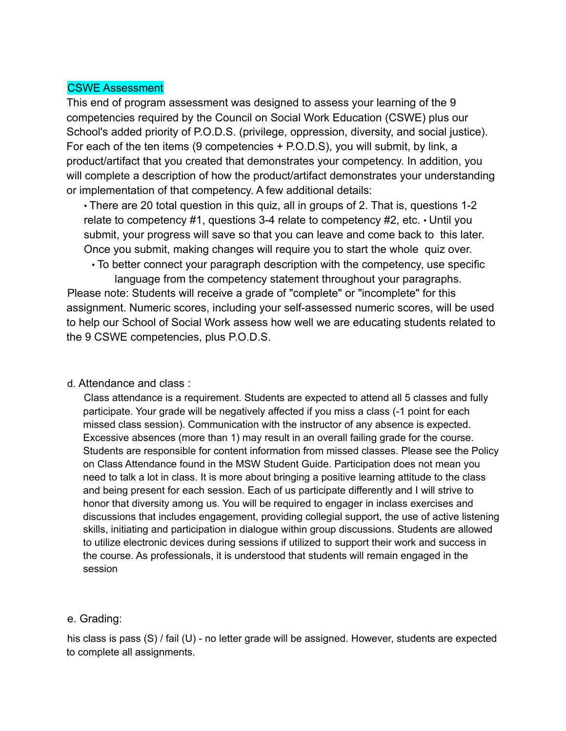### CSWE Assessment

This end of program assessment was designed to assess your learning of the 9 competencies required by the Council on Social Work Education (CSWE) plus our School's added priority of P.O.D.S. (privilege, oppression, diversity, and social justice). For each of the ten items (9 competencies + P.O.D.S), you will submit, by link, a product/artifact that you created that demonstrates your competency. In addition, you will complete a description of how the product/artifact demonstrates your understanding or implementation of that competency. A few additional details:

• There are 20 total question in this quiz, all in groups of 2. That is, questions 1-2 relate to competency #1, questions 3-4 relate to competency #2, etc. • Until you submit, your progress will save so that you can leave and come back to this later. Once you submit, making changes will require you to start the whole quiz over.

• To better connect your paragraph description with the competency, use specific language from the competency statement throughout your paragraphs. Please note: Students will receive a grade of "complete" or "incomplete" for this assignment. Numeric scores, including your self-assessed numeric scores, will be used to help our School of Social Work assess how well we are educating students related to the 9 CSWE competencies, plus P.O.D.S.

#### d. Attendance and class :

Class attendance is a requirement. Students are expected to attend all 5 classes and fully participate. Your grade will be negatively affected if you miss a class (-1 point for each missed class session). Communication with the instructor of any absence is expected. Excessive absences (more than 1) may result in an overall failing grade for the course. Students are responsible for content information from missed classes. Please see the Policy on Class Attendance found in the MSW Student Guide. Participation does not mean you need to talk a lot in class. It is more about bringing a positive learning attitude to the class and being present for each session. Each of us participate differently and I will strive to honor that diversity among us. You will be required to engager in inclass exercises and discussions that includes engagement, providing collegial support, the use of active listening skills, initiating and participation in dialogue within group discussions. Students are allowed to utilize electronic devices during sessions if utilized to support their work and success in the course. As professionals, it is understood that students will remain engaged in the session

#### e. Grading:

his class is pass (S) / fail (U) - no letter grade will be assigned. However, students are expected to complete all assignments.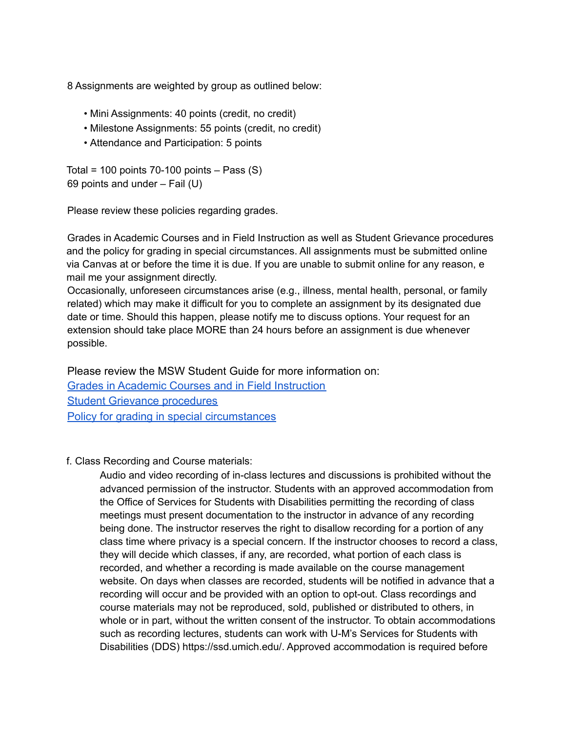8 Assignments are weighted by group as outlined below:

- Mini Assignments: 40 points (credit, no credit)
- Milestone Assignments: 55 points (credit, no credit)
- Attendance and Participation: 5 points

Total = 100 points  $70-100$  points  $-$  Pass (S) 69 points and under – Fail (U)

Please review these policies regarding grades.

Grades in Academic Courses and in Field Instruction as well as Student Grievance procedures and the policy for grading in special circumstances. All assignments must be submitted online via Canvas at or before the time it is due. If you are unable to submit online for any reason, e mail me your assignment directly.

Occasionally, unforeseen circumstances arise (e.g., illness, mental health, personal, or family related) which may make it difficult for you to complete an assignment by its designated due date or time. Should this happen, please notify me to discuss options. Your request for an extension should take place MORE than 24 hours before an assignment is due whenever possible.

Please review the MSW Student Guide for more information on: Grades in Academic Courses and in Field Instruction Student Grievance procedures Policy for grading in special circumstances

#### f. Class Recording and Course materials:

Audio and video recording of in-class lectures and discussions is prohibited without the advanced permission of the instructor. Students with an approved accommodation from the Office of Services for Students with Disabilities permitting the recording of class meetings must present documentation to the instructor in advance of any recording being done. The instructor reserves the right to disallow recording for a portion of any class time where privacy is a special concern. If the instructor chooses to record a class, they will decide which classes, if any, are recorded, what portion of each class is recorded, and whether a recording is made available on the course management website. On days when classes are recorded, students will be notified in advance that a recording will occur and be provided with an option to opt-out. Class recordings and course materials may not be reproduced, sold, published or distributed to others, in whole or in part, without the written consent of the instructor. To obtain accommodations such as recording lectures, students can work with U-M's Services for Students with Disabilities (DDS) https://ssd.umich.edu/. Approved accommodation is required before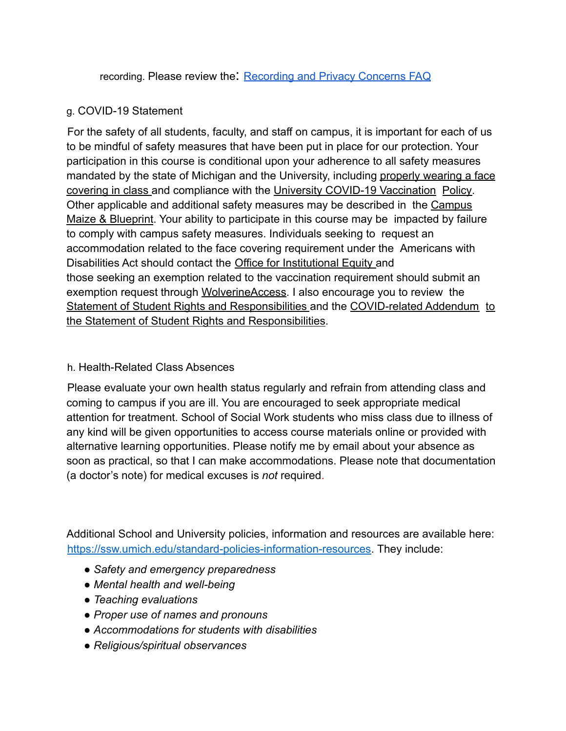recording. Please review the: Recording and Privacy Concerns FAQ

## g. COVID-19 Statement

For the safety of all students, faculty, and staff on campus, it is important for each of us to be mindful of safety measures that have been put in place for our protection. Your participation in this course is conditional upon your adherence to all safety measures mandated by the state of Michigan and the University, including properly wearing a face covering in class and compliance with the University COVID-19 Vaccination Policy. Other applicable and additional safety measures may be described in the Campus Maize & Blueprint. Your ability to participate in this course may be impacted by failure to comply with campus safety measures. Individuals seeking to request an accommodation related to the face covering requirement under the Americans with Disabilities Act should contact the Office for Institutional Equity and those seeking an exemption related to the vaccination requirement should submit an exemption request through WolverineAccess. I also encourage you to review the Statement of Student Rights and Responsibilities and the COVID-related Addendum to the Statement of Student Rights and Responsibilities.

## h. Health-Related Class Absences

Please evaluate your own health status regularly and refrain from attending class and coming to campus if you are ill. You are encouraged to seek appropriate medical attention for treatment. School of Social Work students who miss class due to illness of any kind will be given opportunities to access course materials online or provided with alternative learning opportunities. Please notify me by email about your absence as soon as practical, so that I can make accommodations. Please note that documentation (a doctor's note) for medical excuses is *not* required.

Additional School and University policies, information and resources are available here: https://ssw.umich.edu/standard-policies-information-resources. They include:

- *Safety and emergency preparedness*
- *Mental health and well-being*
- *Teaching evaluations*
- *Proper use of names and pronouns*
- *Accommodations for students with disabilities*
- *Religious/spiritual observances*